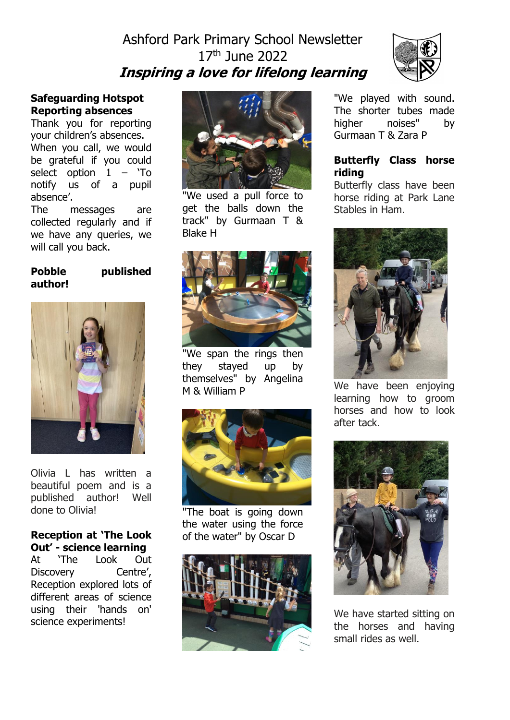# Ashford Park Primary School Newsletter 17th June 2022 **Inspiring a love for lifelong learning**



# **Safeguarding Hotspot Reporting absences**

Thank you for reporting your children's absences. When you call, we would be grateful if you could select option  $1 - 'To$ notify us of a pupil absence'.

The messages are collected regularly and if we have any queries, we will call you back.

# **Pobble published author!**



Olivia L has written a beautiful poem and is a published author! Well done to Olivia!

# **Reception at 'The Look Out' - science learning**

At 'The Look Out Discovery Centre', Reception explored lots of different areas of science using their 'hands on' science experiments!



"We used a pull force to get the balls down the track" by Gurmaan T & Blake H



"We span the rings then they stayed up by themselves" by Angelina M & William P



"The boat is going down the water using the force of the water" by Oscar D



"We played with sound. The shorter tubes made higher noises" by Gurmaan T & Zara P

### **Butterfly Class horse riding**

Butterfly class have been horse riding at Park Lane Stables in Ham.



We have been enjoying learning how to groom horses and how to look after tack.



We have started sitting on the horses and having small rides as well.